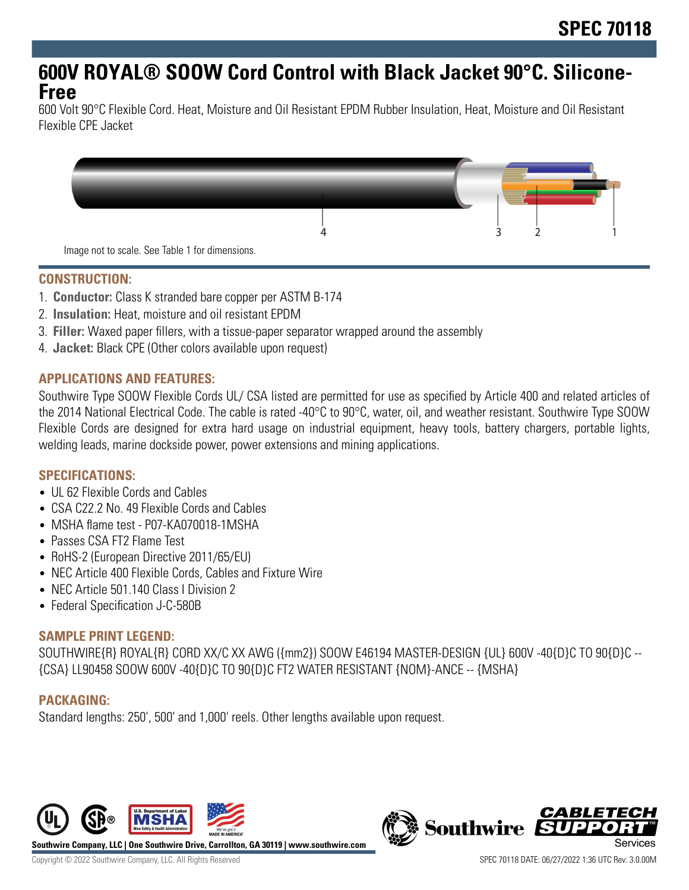## **600V ROYAL® SOOW Cord Control with Black Jacket 90°C. Silicone-Free**

600 Volt 90°C Flexible Cord. Heat, Moisture and Oil Resistant EPDM Rubber Insulation, Heat, Moisture and Oil Resistant Flexible CPE Jacket



### **CONSTRUCTION:**

- 1. **Conductor:** Class K stranded bare copper per ASTM B-174
- 2. **Insulation:** Heat, moisture and oil resistant EPDM
- 3. **Filler:** Waxed paper fillers, with a tissue-paper separator wrapped around the assembly
- 4. **Jacket:** Black CPE (Other colors available upon request)

### **APPLICATIONS AND FEATURES:**

Southwire Type SOOW Flexible Cords UL/ CSA listed are permitted for use as specified by Article 400 and related articles of the 2014 National Electrical Code. The cable is rated -40°C to 90°C, water, oil, and weather resistant. Southwire Type SOOW Flexible Cords are designed for extra hard usage on industrial equipment, heavy tools, battery chargers, portable lights, welding leads, marine dockside power, power extensions and mining applications.

## **SPECIFICATIONS:**

- UL 62 Flexible Cords and Cables
- CSA C22.2 No. 49 Flexible Cords and Cables
- MSHA flame test P07-KA070018-1MSHA
- Passes CSA FT2 Flame Test
- RoHS-2 (European Directive 2011/65/EU)
- NEC Article 400 Flexible Cords, Cables and Fixture Wire
- NEC Article 501.140 Class | Division 2
- Federal Specification J-C-580B

#### **SAMPLE PRINT LEGEND:**

SOUTHWIRE{R} ROYAL{R} CORD XX/C XX AWG ({mm2}) SOOW E46194 MASTER-DESIGN {UL} 600V -40{D}C TO 90{D}C -- {CSA} LL90458 SOOW 600V -40{D}C TO 90{D}C FT2 WATER RESISTANT {NOM}-ANCE -- {MSHA}

## **PACKAGING:**

Standard lengths: 250', 500' and 1,000' reels. Other lengths available upon request.



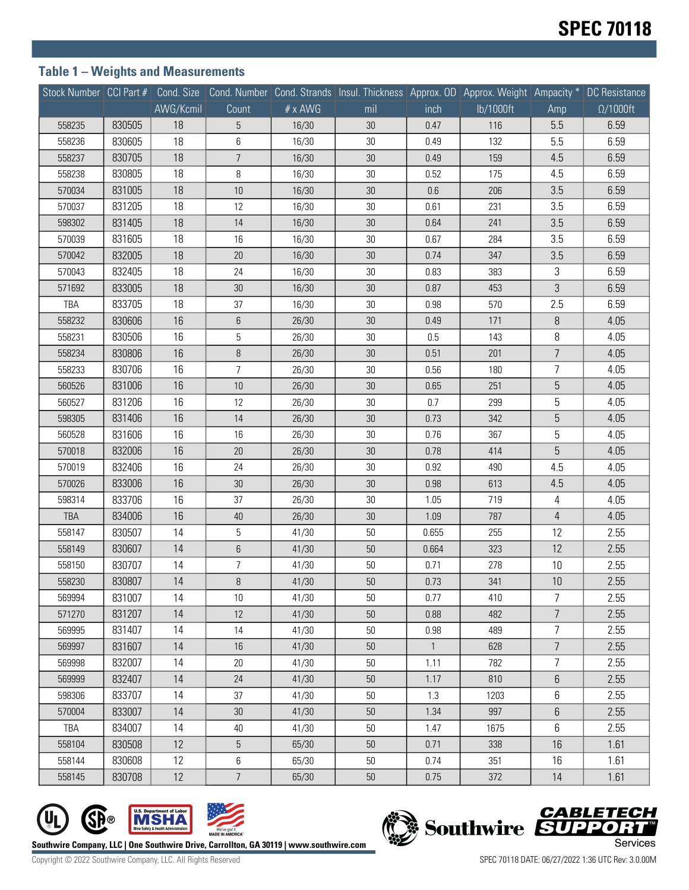## **Table 1 – Weights and Measurements**

|        |        |           |                |         | Stock Number CCI Part # Cond. Size Cond. Number Cond. Strands Insul. Thickness Approx. OD Approx. Weight Ampacity * DC Resistance |              |           |                |                  |
|--------|--------|-----------|----------------|---------|-----------------------------------------------------------------------------------------------------------------------------------|--------------|-----------|----------------|------------------|
|        |        | AWG/Kcmil | Count          | # x AWG | mil                                                                                                                               | inch         | lb/1000ft | Amp            | $\Omega/1000$ ft |
| 558235 | 830505 | 18        | 5              | 16/30   | 30                                                                                                                                | 0.47         | 116       | 5.5            | 6.59             |
| 558236 | 830605 | 18        | 6              | 16/30   | 30                                                                                                                                | 0.49         | 132       | 5.5            | 6.59             |
| 558237 | 830705 | 18        | $\overline{7}$ | 16/30   | 30                                                                                                                                | 0.49         | 159       | 4.5            | 6.59             |
| 558238 | 830805 | 18        | 8              | 16/30   | 30                                                                                                                                | 0.52         | 175       | 4.5            | 6.59             |
| 570034 | 831005 | 18        | 10             | 16/30   | 30                                                                                                                                | 0.6          | 206       | 3.5            | 6.59             |
| 570037 | 831205 | 18        | 12             | 16/30   | $30\,$                                                                                                                            | 0.61         | 231       | 3.5            | 6.59             |
| 598302 | 831405 | 18        | 14             | 16/30   | 30                                                                                                                                | 0.64         | 241       | 3.5            | 6.59             |
| 570039 | 831605 | 18        | 16             | 16/30   | 30                                                                                                                                | 0.67         | 284       | 3.5            | 6.59             |
| 570042 | 832005 | 18        | $20\,$         | 16/30   | $30\,$                                                                                                                            | 0.74         | 347       | 3.5            | 6.59             |
| 570043 | 832405 | 18        | 24             | 16/30   | 30                                                                                                                                | 0.83         | 383       | 3              | 6.59             |
| 571692 | 833005 | 18        | $30\,$         | 16/30   | 30                                                                                                                                | 0.87         | 453       | 3              | 6.59             |
| TBA    | 833705 | 18        | 37             | 16/30   | 30                                                                                                                                | 0.98         | 570       | 2.5            | 6.59             |
| 558232 | 830606 | 16        | 6              | 26/30   | $30\,$                                                                                                                            | 0.49         | 171       | 8              | 4.05             |
| 558231 | 830506 | 16        | 5              | 26/30   | $30\,$                                                                                                                            | 0.5          | 143       | 8              | 4.05             |
| 558234 | 830806 | 16        | 8              | 26/30   | 30                                                                                                                                | 0.51         | 201       | $\overline{7}$ | 4.05             |
| 558233 | 830706 | 16        | $\overline{7}$ | 26/30   | 30                                                                                                                                | 0.56         | 180       | 7              | 4.05             |
| 560526 | 831006 | 16        | $10$           | 26/30   | 30                                                                                                                                | 0.65         | 251       | 5              | 4.05             |
| 560527 | 831206 | 16        | 12             | 26/30   | $30\,$                                                                                                                            | 0.7          | 299       | 5              | 4.05             |
| 598305 | 831406 | 16        | 14             | 26/30   | 30                                                                                                                                | 0.73         | 342       | 5              | 4.05             |
| 560528 | 831606 | 16        | 16             | 26/30   | 30                                                                                                                                | 0.76         | 367       | 5              | 4.05             |
| 570018 | 832006 | 16        | $20\,$         | 26/30   | $30\,$                                                                                                                            | 0.78         | 414       | 5              | 4.05             |
| 570019 | 832406 | 16        | 24             | 26/30   | 30                                                                                                                                | 0.92         | 490       | 4.5            | 4.05             |
| 570026 | 833006 | 16        | $30\,$         | 26/30   | 30                                                                                                                                | 0.98         | 613       | 4.5            | 4.05             |
| 598314 | 833706 | 16        | 37             | 26/30   | $30\,$                                                                                                                            | 1.05         | 719       | 4              | 4.05             |
| TBA    | 834006 | 16        | $40\,$         | 26/30   | $30\,$                                                                                                                            | 1.09         | 787       | $\overline{4}$ | 4.05             |
| 558147 | 830507 | 14        | 5              | 41/30   | $50\,$                                                                                                                            | 0.655        | 255       | 12             | 2.55             |
| 558149 | 830607 | 14        | 6              | 41/30   | 50                                                                                                                                | 0.664        | 323       | 12             | 2.55             |
| 558150 | 830707 | 14        | 7              | 41/30   | 50                                                                                                                                | 0.71         | 278       | 10             | 2.55             |
| 558230 | 830807 | 14        | $\, 8$         | 41/30   | 50                                                                                                                                | 0.73         | 341       | 10             | 2.55             |
| 569994 | 831007 | 14        | 10             | 41/30   | 50                                                                                                                                | 0.77         | 410       | 7              | 2.55             |
| 571270 | 831207 | 14        | 12             | 41/30   | $50\,$                                                                                                                            | 0.88         | 482       | $\overline{7}$ | 2.55             |
| 569995 | 831407 | 14        | 14             | 41/30   | $50\,$                                                                                                                            | 0.98         | 489       | $\overline{7}$ | 2.55             |
| 569997 | 831607 | 14        | 16             | 41/30   | 50                                                                                                                                | $\mathbf{1}$ | 628       | $\overline{7}$ | 2.55             |
| 569998 | 832007 | 14        | 20             | 41/30   | 50                                                                                                                                | 1.11         | 782       | $\overline{7}$ | 2.55             |
| 569999 | 832407 | 14        | 24             | 41/30   | $50\,$                                                                                                                            | 1.17         | 810       | 6              | 2.55             |
| 598306 | 833707 | 14        | 37             | 41/30   | $50\,$                                                                                                                            | 1.3          | 1203      | 6              | 2.55             |
| 570004 | 833007 | 14        | 30             | 41/30   | 50                                                                                                                                | 1.34         | 997       | 6              | 2.55             |
| TBA    | 834007 | 14        | 40             | 41/30   | $50\,$                                                                                                                            | 1.47         | 1675      | 6              | 2.55             |
| 558104 | 830508 | 12        | $\mathbf 5$    | 65/30   | 50                                                                                                                                | 0.71         | 338       | 16             | 1.61             |
| 558144 | 830608 | 12        | 6              | 65/30   | 50                                                                                                                                | 0.74         | 351       | 16             | 1.61             |
| 558145 | 830708 | 12        | $\overline{7}$ | 65/30   | $50\,$                                                                                                                            | 0.75         | 372       | 14             | 1.61             |



got it<br>MERICA

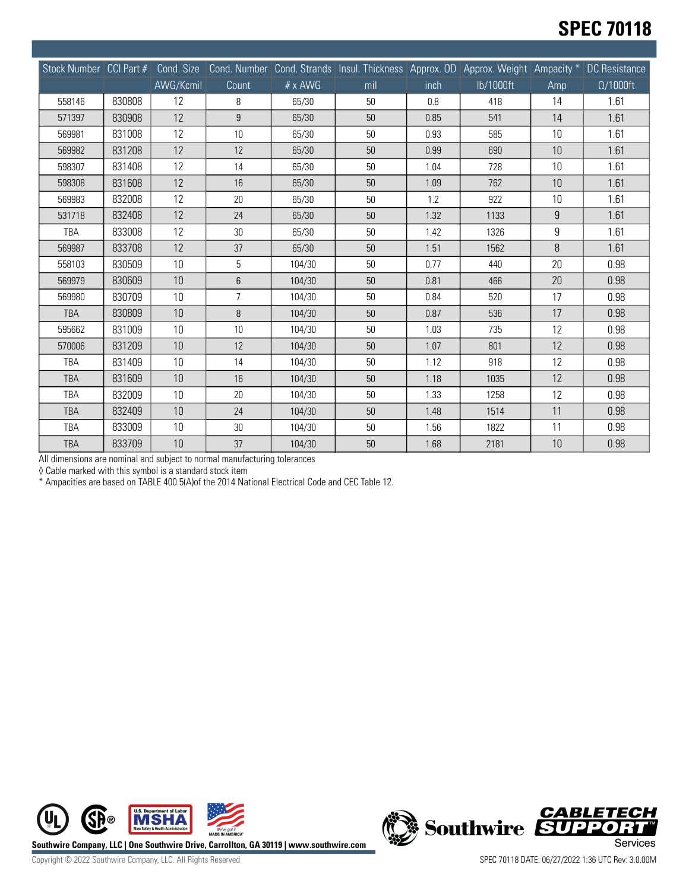## **SPEC 70118**

| Stock Number CCI Part # |        | Cond. Size<br>AWG/Kcmil | Count          | # x AWG | Cond. Number Cond. Strands Insul. Thickness Approx. OD Approx. Weight Ampacity *<br>mil | inch | lb/1000ft | Amp | DC Resistance<br>$\Omega/1000$ ft |
|-------------------------|--------|-------------------------|----------------|---------|-----------------------------------------------------------------------------------------|------|-----------|-----|-----------------------------------|
| 558146                  | 830808 | 12                      | 8              | 65/30   | 50                                                                                      | 0.8  | 418       | 14  | 1.61                              |
| 571397                  | 830908 | 12                      | 9              | 65/30   | 50                                                                                      | 0.85 | 541       | 14  | 1.61                              |
| 569981                  | 831008 | 12                      | 10             | 65/30   | 50                                                                                      | 0.93 | 585       | 10  | 1.61                              |
| 569982                  | 831208 | 12                      | 12             | 65/30   | 50                                                                                      | 0.99 | 690       | 10  | 1.61                              |
| 598307                  | 831408 | 12                      | 14             | 65/30   | 50                                                                                      | 1.04 | 728       | 10  | 1.61                              |
| 598308                  | 831608 | 12                      | 16             | 65/30   | 50                                                                                      | 1.09 | 762       | 10  | 1.61                              |
| 569983                  | 832008 | 12                      | 20             | 65/30   | 50                                                                                      | 1.2  | 922       | 10  | 1.61                              |
| 531718                  | 832408 | 12                      | 24             | 65/30   | 50                                                                                      | 1.32 | 1133      | 9   | 1.61                              |
| TBA                     | 833008 | 12                      | 30             | 65/30   | 50                                                                                      | 1.42 | 1326      | 9   | 1.61                              |
| 569987                  | 833708 | 12                      | 37             | 65/30   | 50                                                                                      | 1.51 | 1562      | 8   | 1.61                              |
| 558103                  | 830509 | 10                      | 5              | 104/30  | 50                                                                                      | 0.77 | 440       | 20  | 0.98                              |
| 569979                  | 830609 | 10                      | 6              | 104/30  | 50                                                                                      | 0.81 | 466       | 20  | 0.98                              |
| 569980                  | 830709 | 10                      | $\overline{7}$ | 104/30  | 50                                                                                      | 0.84 | 520       | 17  | 0.98                              |
| <b>TBA</b>              | 830809 | 10                      | $\, 8$         | 104/30  | 50                                                                                      | 0.87 | 536       | 17  | 0.98                              |
| 595662                  | 831009 | 10                      | 10             | 104/30  | 50                                                                                      | 1.03 | 735       | 12  | 0.98                              |
| 570006                  | 831209 | 10                      | 12             | 104/30  | 50                                                                                      | 1.07 | 801       | 12  | 0.98                              |
| <b>TBA</b>              | 831409 | 10                      | 14             | 104/30  | 50                                                                                      | 1.12 | 918       | 12  | 0.98                              |
| <b>TBA</b>              | 831609 | 10                      | 16             | 104/30  | 50                                                                                      | 1.18 | 1035      | 12  | 0.98                              |
| TBA                     | 832009 | 10                      | 20             | 104/30  | 50                                                                                      | 1.33 | 1258      | 12  | 0.98                              |
| <b>TBA</b>              | 832409 | 10                      | 24             | 104/30  | 50                                                                                      | 1.48 | 1514      | 11  | 0.98                              |
| TBA                     | 833009 | 10                      | 30             | 104/30  | 50                                                                                      | 1.56 | 1822      | 11  | 0.98                              |
| <b>TBA</b>              | 833709 | 10                      | 37             | 104/30  | $50\,$                                                                                  | 1.68 | 2181      | 10  | 0.98                              |

All dimensions are nominal and subject to normal manufacturing tolerances

◊ Cable marked with this symbol is a standard stock item

\* Ampacities are based on TABLE 400.5(A)of the 2014 National Electrical Code and CEC Table 12.



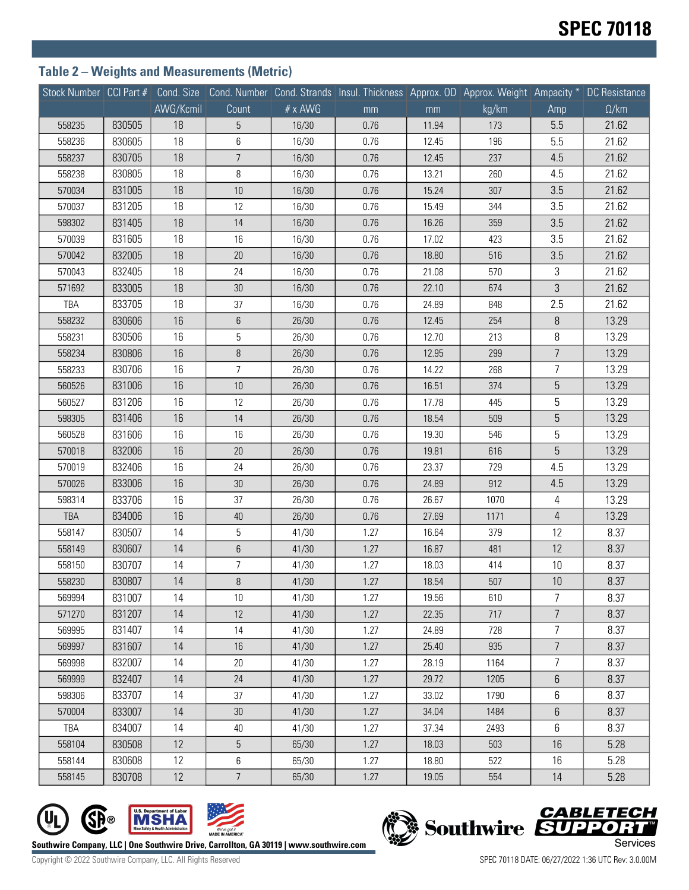## **Table 2 – Weights and Measurements (Metric)**

|            |        |           |                |                | Stock Number CCI Part # Cond. Size Cond. Number Cond. Strands Insul. Thickness Approx. OD Approx. Weight Ampacity * DC Resistance |       |       |                |              |
|------------|--------|-----------|----------------|----------------|-----------------------------------------------------------------------------------------------------------------------------------|-------|-------|----------------|--------------|
|            |        | AWG/Kcmil | Count          | $# \times$ AWG | mm                                                                                                                                | mm    | kg/km | Amp            | $\Omega$ /km |
| 558235     | 830505 | 18        | 5              | 16/30          | 0.76                                                                                                                              | 11.94 | 173   | 5.5            | 21.62        |
| 558236     | 830605 | 18        | 6              | 16/30          | 0.76                                                                                                                              | 12.45 | 196   | 5.5            | 21.62        |
| 558237     | 830705 | 18        | $\overline{7}$ | 16/30          | 0.76                                                                                                                              | 12.45 | 237   | 4.5            | 21.62        |
| 558238     | 830805 | 18        | 8              | 16/30          | 0.76                                                                                                                              | 13.21 | 260   | 4.5            | 21.62        |
| 570034     | 831005 | 18        | 10             | 16/30          | 0.76                                                                                                                              | 15.24 | 307   | 3.5            | 21.62        |
| 570037     | 831205 | 18        | 12             | 16/30          | 0.76                                                                                                                              | 15.49 | 344   | 3.5            | 21.62        |
| 598302     | 831405 | 18        | 14             | 16/30          | 0.76                                                                                                                              | 16.26 | 359   | 3.5            | 21.62        |
| 570039     | 831605 | 18        | 16             | 16/30          | 0.76                                                                                                                              | 17.02 | 423   | 3.5            | 21.62        |
| 570042     | 832005 | 18        | 20             | 16/30          | 0.76                                                                                                                              | 18.80 | 516   | 3.5            | 21.62        |
| 570043     | 832405 | 18        | 24             | 16/30          | 0.76                                                                                                                              | 21.08 | 570   | 3              | 21.62        |
| 571692     | 833005 | 18        | 30             | 16/30          | 0.76                                                                                                                              | 22.10 | 674   | $\mathfrak{Z}$ | 21.62        |
| TBA        | 833705 | 18        | 37             | 16/30          | 0.76                                                                                                                              | 24.89 | 848   | 2.5            | 21.62        |
| 558232     | 830606 | 16        | 6              | 26/30          | 0.76                                                                                                                              | 12.45 | 254   | 8              | 13.29        |
| 558231     | 830506 | 16        | 5              | 26/30          | 0.76                                                                                                                              | 12.70 | 213   | 8              | 13.29        |
| 558234     | 830806 | 16        | $\, 8$         | 26/30          | 0.76                                                                                                                              | 12.95 | 299   | $\overline{7}$ | 13.29        |
| 558233     | 830706 | 16        | $\overline{7}$ | 26/30          | 0.76                                                                                                                              | 14.22 | 268   | 7              | 13.29        |
| 560526     | 831006 | 16        | 10             | 26/30          | 0.76                                                                                                                              | 16.51 | 374   | 5              | 13.29        |
| 560527     | 831206 | 16        | 12             | 26/30          | 0.76                                                                                                                              | 17.78 | 445   | 5              | 13.29        |
| 598305     | 831406 | 16        | 14             | 26/30          | 0.76                                                                                                                              | 18.54 | 509   | 5              | 13.29        |
| 560528     | 831606 | 16        | 16             | 26/30          | 0.76                                                                                                                              | 19.30 | 546   | 5              | 13.29        |
| 570018     | 832006 | 16        | 20             | 26/30          | 0.76                                                                                                                              | 19.81 | 616   | 5              | 13.29        |
| 570019     | 832406 | 16        | 24             | 26/30          | 0.76                                                                                                                              | 23.37 | 729   | 4.5            | 13.29        |
| 570026     | 833006 | 16        | 30             | 26/30          | 0.76                                                                                                                              | 24.89 | 912   | 4.5            | 13.29        |
| 598314     | 833706 | 16        | 37             | 26/30          | 0.76                                                                                                                              | 26.67 | 1070  | $\overline{4}$ | 13.29        |
| <b>TBA</b> | 834006 | 16        | $40\,$         | 26/30          | 0.76                                                                                                                              | 27.69 | 1171  | $\overline{4}$ | 13.29        |
| 558147     | 830507 | 14        | 5              | 41/30          | 1.27                                                                                                                              | 16.64 | 379   | 12             | 8.37         |
| 558149     | 830607 | 14        | 6              | 41/30          | 1.27                                                                                                                              | 16.87 | 481   | 12             | 8.37         |
| 558150     | 830707 | 14        | 7              | 41/30          | 1.27                                                                                                                              | 18.03 | 414   | 10             | 8.37         |
| 558230     | 830807 | 14        | $\, 8$         | 41/30          | 1.27                                                                                                                              | 18.54 | 507   | 10             | 8.37         |
| 569994     | 831007 | 14        | 10             | 41/30          | 1.27                                                                                                                              | 19.56 | 610   | 7              | 8.37         |
| 571270     | 831207 | 14        | 12             | 41/30          | 1.27                                                                                                                              | 22.35 | 717   | $\overline{7}$ | 8.37         |
| 569995     | 831407 | 14        | 14             | 41/30          | 1.27                                                                                                                              | 24.89 | 728   | $\overline{7}$ | 8.37         |
| 569997     | 831607 | 14        | 16             | 41/30          | 1.27                                                                                                                              | 25.40 | 935   | $\overline{7}$ | 8.37         |
| 569998     | 832007 | 14        | 20             | 41/30          | 1.27                                                                                                                              | 28.19 | 1164  | $\overline{7}$ | 8.37         |
| 569999     | 832407 | 14        | 24             | 41/30          | 1.27                                                                                                                              | 29.72 | 1205  | $6\,$          | 8.37         |
| 598306     | 833707 | 14        | 37             | 41/30          | 1.27                                                                                                                              | 33.02 | 1790  | 6              | 8.37         |
| 570004     | 833007 | 14        | 30             | 41/30          | 1.27                                                                                                                              | 34.04 | 1484  | 6              | 8.37         |
| TBA        | 834007 | 14        | 40             | 41/30          | 1.27                                                                                                                              | 37.34 | 2493  | 6              | 8.37         |
| 558104     | 830508 | 12        | $\mathbf 5$    | 65/30          | 1.27                                                                                                                              | 18.03 | 503   | 16             | 5.28         |
| 558144     | 830608 | 12        | 6              | 65/30          | 1.27                                                                                                                              | 18.80 | 522   | 16             | 5.28         |
| 558145     | 830708 | 12        | $\overline{7}$ | 65/30          | 1.27                                                                                                                              | 19.05 | 554   | 14             | 5.28         |





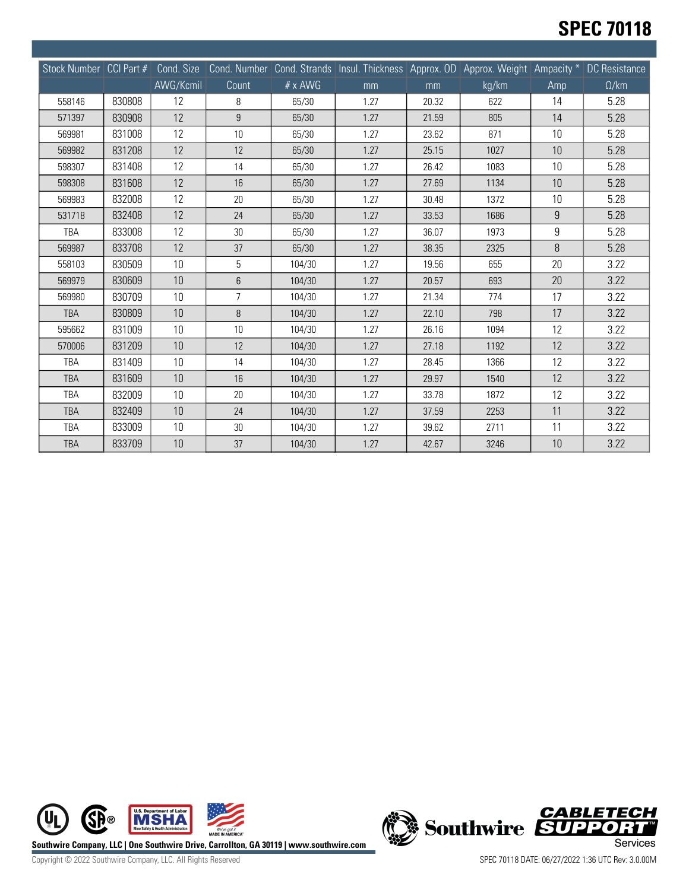# **SPEC 70118**

| Stock Number CCI Part # |        | Cond. Size |                  |         | Cond. Number Cond. Strands Insul. Thickness Approx. OD Approx. Weight Ampacity * |       |       |                | DC Resistance |
|-------------------------|--------|------------|------------------|---------|----------------------------------------------------------------------------------|-------|-------|----------------|---------------|
|                         |        | AWG/Kcmil  | Count            | # x AWG | mm                                                                               | mm    | kg/km | Amp            | $\Omega/km$   |
| 558146                  | 830808 | 12         | 8                | 65/30   | 1.27                                                                             | 20.32 | 622   | 14             | 5.28          |
| 571397                  | 830908 | 12         | $\boldsymbol{9}$ | 65/30   | 1.27                                                                             | 21.59 | 805   | 14             | 5.28          |
| 569981                  | 831008 | 12         | 10               | 65/30   | 1.27                                                                             | 23.62 | 871   | 10             | 5.28          |
| 569982                  | 831208 | 12         | 12               | 65/30   | 1.27                                                                             | 25.15 | 1027  | 10             | 5.28          |
| 598307                  | 831408 | 12         | 14               | 65/30   | 1.27                                                                             | 26.42 | 1083  | 10             | 5.28          |
| 598308                  | 831608 | 12         | 16               | 65/30   | 1.27                                                                             | 27.69 | 1134  | 10             | 5.28          |
| 569983                  | 832008 | 12         | 20               | 65/30   | 1.27                                                                             | 30.48 | 1372  | 10             | 5.28          |
| 531718                  | 832408 | 12         | 24               | 65/30   | 1.27                                                                             | 33.53 | 1686  | $\overline{9}$ | 5.28          |
| TBA                     | 833008 | 12         | 30               | 65/30   | 1.27                                                                             | 36.07 | 1973  | 9              | 5.28          |
| 569987                  | 833708 | 12         | 37               | 65/30   | 1.27                                                                             | 38.35 | 2325  | 8              | 5.28          |
| 558103                  | 830509 | 10         | 5                | 104/30  | 1.27                                                                             | 19.56 | 655   | 20             | 3.22          |
| 569979                  | 830609 | 10         | 6                | 104/30  | 1.27                                                                             | 20.57 | 693   | 20             | 3.22          |
| 569980                  | 830709 | 10         | $\overline{7}$   | 104/30  | 1.27                                                                             | 21.34 | 774   | 17             | 3.22          |
| <b>TBA</b>              | 830809 | 10         | 8                | 104/30  | 1.27                                                                             | 22.10 | 798   | 17             | 3.22          |
| 595662                  | 831009 | 10         | 10               | 104/30  | 1.27                                                                             | 26.16 | 1094  | 12             | 3.22          |
| 570006                  | 831209 | 10         | 12               | 104/30  | 1.27                                                                             | 27.18 | 1192  | 12             | 3.22          |
| <b>TBA</b>              | 831409 | 10         | 14               | 104/30  | 1.27                                                                             | 28.45 | 1366  | 12             | 3.22          |
| <b>TBA</b>              | 831609 | 10         | 16               | 104/30  | 1.27                                                                             | 29.97 | 1540  | 12             | 3.22          |
| TBA                     | 832009 | 10         | 20               | 104/30  | 1.27                                                                             | 33.78 | 1872  | 12             | 3.22          |
| <b>TBA</b>              | 832409 | 10         | 24               | 104/30  | 1.27                                                                             | 37.59 | 2253  | 11             | 3.22          |
| TBA                     | 833009 | 10         | 30               | 104/30  | 1.27                                                                             | 39.62 | 2711  | 11             | 3.22          |
| <b>TBA</b>              | 833709 | 10         | 37               | 104/30  | 1.27                                                                             | 42.67 | 3246  | 10             | 3.22          |